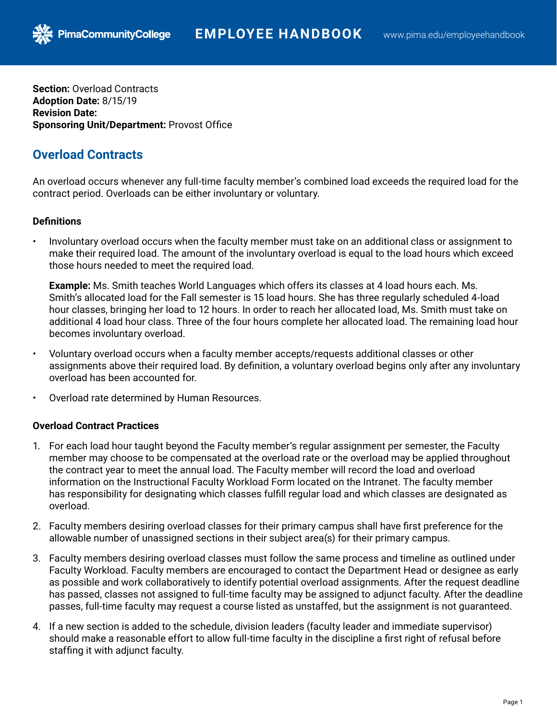**Section:** Overload Contracts **Adoption Date:** 8/15/19 **Revision Date: Sponsoring Unit/Department:** Provost Office

PimaCommunityCollege

## **Overload Contracts**

An overload occurs whenever any full-time faculty member's combined load exceeds the required load for the contract period. Overloads can be either involuntary or voluntary.

## **Definitions**

• Involuntary overload occurs when the faculty member must take on an additional class or assignment to make their required load. The amount of the involuntary overload is equal to the load hours which exceed those hours needed to meet the required load.

**Example:** Ms. Smith teaches World Languages which offers its classes at 4 load hours each. Ms. Smith's allocated load for the Fall semester is 15 load hours. She has three regularly scheduled 4-load hour classes, bringing her load to 12 hours. In order to reach her allocated load, Ms. Smith must take on additional 4 load hour class. Three of the four hours complete her allocated load. The remaining load hour becomes involuntary overload.

- Voluntary overload occurs when a faculty member accepts/requests additional classes or other assignments above their required load. By definition, a voluntary overload begins only after any involuntary overload has been accounted for.
- Overload rate determined by Human Resources.

## **Overload Contract Practices**

- 1. For each load hour taught beyond the Faculty member's regular assignment per semester, the Faculty member may choose to be compensated at the overload rate or the overload may be applied throughout the contract year to meet the annual load. The Faculty member will record the load and overload information on the Instructional Faculty Workload Form located on the Intranet. The faculty member has responsibility for designating which classes fulfill regular load and which classes are designated as overload.
- 2. Faculty members desiring overload classes for their primary campus shall have first preference for the allowable number of unassigned sections in their subject area(s) for their primary campus.
- 3. Faculty members desiring overload classes must follow the same process and timeline as outlined under Faculty Workload. Faculty members are encouraged to contact the Department Head or designee as early as possible and work collaboratively to identify potential overload assignments. After the request deadline has passed, classes not assigned to full-time faculty may be assigned to adjunct faculty. After the deadline passes, full-time faculty may request a course listed as unstaffed, but the assignment is not guaranteed.
- 4. If a new section is added to the schedule, division leaders (faculty leader and immediate supervisor) should make a reasonable effort to allow full-time faculty in the discipline a first right of refusal before staffing it with adjunct faculty.